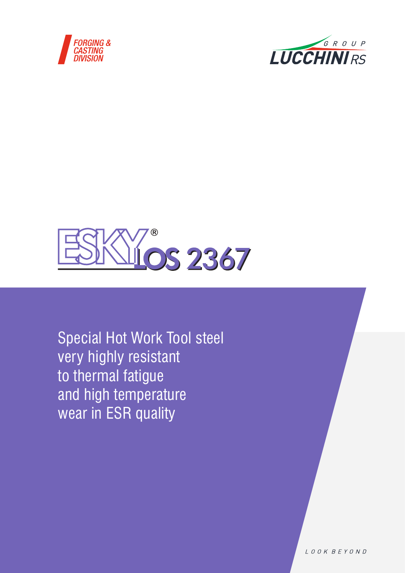





Special Hot Work Tool steel very highly resistant to thermal fatigue and high temperature wear in ESR quality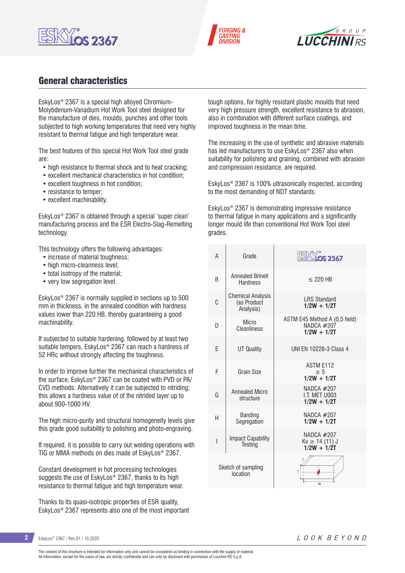





## General characteristics

EskyLos® 2367 is a special high alloyed Chromium-Molybdenum-Vanadium Hot Work Tool steel designed for the manufacture of dies, moulds, punches and other tools subjected to high working temperatures that need very highly resistant to thermal fatigue and high temperature wear.

The best features of this special Hot Work Tool steel grade are:

- high resistance to thermal shock and to heat cracking;
- excellent mechanical characteristics in hot condition;
- excellent toughness in hot condition;
- resistance to temper;
- excellent machinability.

EskyLos® 2367 is obtained through a special 'super clean' manufacturing process and the ESR Electro-Slag-Remelting technology.

This technology offers the following advantages:

- increase of material toughness;
- high micro-cleanness level:
- total isotropy of the material;
- very low segregation level.

EskyLos® 2367 is normally supplied in sections up to 500 mm in thickness, in the annealed condition with hardness values lower than 220 HB, thereby guaranteeing a good machinability.

If subjected to suitable hardening, followed by at least two suitable tempers, EskyLos® 2367 can reach a hardness of 52 HRc without strongly affecting the toughness.

In order to improve further the mechanical characteristics of the surface, EskyLos® 2367 can be coated with PVD or PA/ CVD methods. Alternatively it can be subjected to nitriding; this allows a hardness value of of the nitrided layer up to about 900-1000 HV.

The high micro-purity and structural homogeneity levels give this grade good suitability to polishing and photo-engraving.

If required, it is possible to carry out welding operations with TIG or MMA methods on dies made of EskyLos® 2367.

Constant development in hot processing technologies suggests the use of EskyLos® 2367, thanks to its high resistance to thermal fatigue and high temperature wear.

Thanks to its quasi-isotropic properties of ESR quality, EskyLos® 2367 represents also one of the most important tough options, for highly resistant plastic moulds that need very high pressure strength, excellent resistance to abrasion, also in combination with different surface coatings, and improved toughness in the mean time.

The increasing in the use of synthetic and abrasive materials has led manufacturers to use EskyLos® 2367 also when suitability for polishing and graining, combined with abrasion and compression resistance, are required.

EskyLos® 2367 is 100% ultrasonically inspected, according to the most demanding of NDT standards.

EskyLos® 2367 is demonstrating impressive resistance to thermal fatigue in many applications and a significantly longer mould life than conventional Hot Work Tool steel grades.

| A                              | Grade                                                | LOS 2367                                                       |
|--------------------------------|------------------------------------------------------|----------------------------------------------------------------|
| R                              | <b>Annealed Brinell</b><br><b>Hardness</b>           | $<$ 220 HR                                                     |
| C                              | <b>Chemical Analysis</b><br>(as Product<br>Analysis) | <b>LRS Standard</b><br>$1/2W + 1/2T$                           |
| D                              | Micro<br><b>Cleanliness</b>                          | ASTM E45 Method A (0,5 field)<br>NADCA $#207$<br>$1/2W + 1/2T$ |
| F                              | UT Quality                                           | UNI FN 10228-3 Class 4                                         |
| F                              | Grain Size                                           | <b>ASTM E112</b><br>> 5<br>$1/2W + 1/2T$                       |
| G                              | <b>Annealed Micro</b><br>structure                   | NADCA #207<br>I.T. MFT U003<br>$1/2W + 1/2T$                   |
| н                              | <b>Banding</b><br>Segregation                        | NADCA #207<br>$1/2W + 1/2T$                                    |
| I                              | <b>Impact Capability</b><br>Testing                  | NADCA #207<br>$Kv \ge 14(11)$ J<br>$1/2W + 1/2T$               |
| Sketch of sampling<br>location |                                                      | L<br>T<br>W                                                    |

**2** EskyLos® 2367 / Rev.01 / 10.2020

The content of this brochure is intended for information only and cannot be considered as binding in connection with the supply of material. All information, except for the cases of law, are strictly confidential and can only be disclosed with permission of Lucchini RS S.p.A.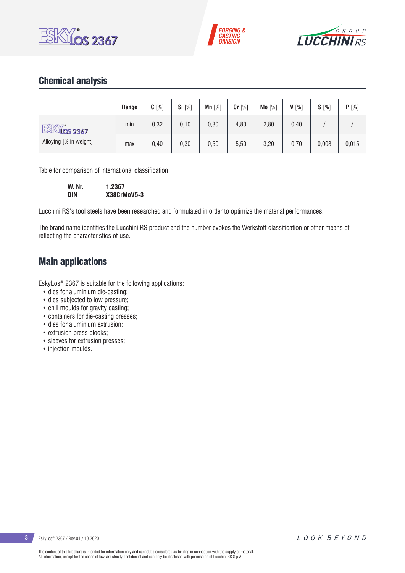





## Chemical analysis

|                             | Range | $C[\%]$ | Si [%] | Mn $[%]$ | $Cr$ [%] | Mo [%] | $V[\%]$ | $S[\%]$ | P[%]  |
|-----------------------------|-------|---------|--------|----------|----------|--------|---------|---------|-------|
| ESKY.<br>$\sqrt{10}$ s 2367 | min   | 0,32    | 0, 10  | 0,30     | 4,80     | 2,80   | 0,40    |         |       |
| Alloying [% in weight]      | max   | 0,40    | 0,30   | 0,50     | 5,50     | 3,20   | 0,70    | 0,003   | 0,015 |

Table for comparison of international classification

| W. Nr. | 1.2367      |
|--------|-------------|
| DIN    | X38CrMoV5-3 |

Lucchini RS's tool steels have been researched and formulated in order to optimize the material performances.

The brand name identifies the Lucchini RS product and the number evokes the Werkstoff classification or other means of reflecting the characteristics of use.

### Main applications

EskyLos® 2367 is suitable for the following applications:

- dies for aluminium die-casting;
- dies subjected to low pressure;
- chill moulds for gravity casting;
- containers for die-casting presses;
- dies for aluminium extrusion;
- extrusion press blocks;
- sleeves for extrusion presses;
- injection moulds.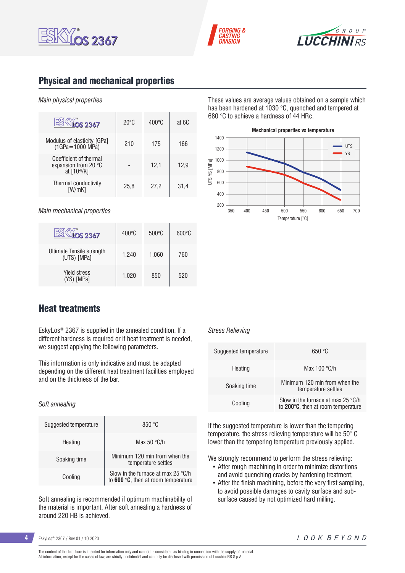





## Physical and mechanical properties

#### *Main physical properties*

| $\overline{OS}$ 2367                                          | $20^{\circ}$ C | $400^{\circ}$ C | at 6C |
|---------------------------------------------------------------|----------------|-----------------|-------|
| Modulus of elasticity [GPa]<br>$(1GPa = 1000 MPa)$            | 210            | 175             | 166   |
| Coefficient of thermal<br>expansion from 20 °C<br>at [10-6/K] |                | 12.1            | 12,9  |
| Thermal conductivity<br>[W/mK]                                | 25.8           | 27,2            | 31.4  |

*Main mechanical properties*

| OS 2367                                  | $400^{\circ}$ C | $500^{\circ}$ C | $600\degree$ C |
|------------------------------------------|-----------------|-----------------|----------------|
| Ultimate Tensile strength<br>(UTS) [MPa] | 1.240           | 1.060           | 760            |
| <b>Yield stress</b><br>(YS) [MPa]        | 1.020           | 850             | 520            |

These values are average values obtained on a sample which has been hardened at 1030 °C, quenched and tempered at 680 °C to achieve a hardness of 44 HRc.



### Heat treatments

EskyLos® 2367 is supplied in the annealed condition. If a different hardness is required or if heat treatment is needed, we suggest applying the following parameters.

This information is only indicative and must be adapted depending on the different heat treatment facilities employed and on the thickness of the bar.

#### *Soft annealing*

| Suggested temperature | 850 °C                                                                             |
|-----------------------|------------------------------------------------------------------------------------|
| Heating               | Max 50 $\degree$ C/h                                                               |
| Soaking time          | Minimum 120 min from when the<br>temperature settles                               |
| Cooling               | Slow in the furnace at max 25 $\degree$ C/h<br>to 600 °C, then at room temperature |

Soft annealing is recommended if optimum machinability of the material is important. After soft annealing a hardness of around 220 HB is achieved.

#### *Stress Relieving*

| Suggested temperature | 650 °C                                                                            |  |  |  |
|-----------------------|-----------------------------------------------------------------------------------|--|--|--|
| Heating               | Max $100 °C/h$                                                                    |  |  |  |
| Soaking time          | Minimum 120 min from when the<br>temperature settles                              |  |  |  |
| Cooling               | Slow in the furnace at max 25 $\degree$ C/h<br>to 200°C, then at room temperature |  |  |  |

If the suggested temperature is lower than the tempering temperature, the stress relieving temperature will be 50° C lower than the tempering temperature previously applied.

We strongly recommend to perform the stress relieving:

- After rough machining in order to minimize distortions and avoid quenching cracks by hardening treatment;
- After the finish machining, before the very first sampling, to avoid possible damages to cavity surface and subsurface caused by not optimized hard milling.

**4** EskyLos® 2367 / Rev.01 / 10.2020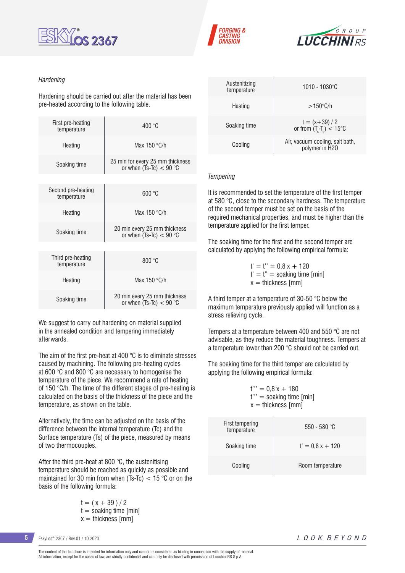





#### *Hardening*

Hardening should be carried out after the material has been pre-heated according to the following table.

| First pre-heating<br>temperature  | 400 °C                                                        |  |  |  |  |
|-----------------------------------|---------------------------------------------------------------|--|--|--|--|
| Heating                           | Max 150 $\degree$ C/h                                         |  |  |  |  |
| Soaking time                      | 25 min for every 25 mm thickness<br>or when (Ts-Tc) $<$ 90 °C |  |  |  |  |
|                                   |                                                               |  |  |  |  |
| Second pre-heating<br>temperature | 600 °C                                                        |  |  |  |  |
| Heating                           | Max $150 °C/h$                                                |  |  |  |  |
| Soaking time                      | 20 min every 25 mm thickness<br>or when $(Ts-TC) < 90$ °C     |  |  |  |  |
|                                   |                                                               |  |  |  |  |
| Third pre-heating<br>temperature  | 800 °C                                                        |  |  |  |  |
| Heating                           | Max 150 °C/h                                                  |  |  |  |  |
| Soaking time                      | 20 min every 25 mm thickness<br>or when (Ts-Tc) $<$ 90 °C     |  |  |  |  |

We suggest to carry out hardening on material supplied in the annealed condition and tempering immediately afterwards.

The aim of the first pre-heat at 400 °C is to eliminate stresses caused by machining. The following pre-heating cycles at 600 °C and 800 °C are necessary to homogenise the temperature of the piece. We recommend a rate of heating of 150 °C/h. The time of the different stages of pre-heating is calculated on the basis of the thickness of the piece and the temperature, as shown on the table.

Alternatively, the time can be adjusted on the basis of the difference between the internal temperature (Tc) and the Surface temperature (Ts) of the piece, measured by means of two thermocouples.

After the third pre-heat at 800 °C, the austenitising temperature should be reached as quickly as possible and maintained for 30 min from when (Ts-Tc)  $<$  15 °C or on the basis of the following formula:

> $t = (x + 39)/2$  $t =$  soaking time [min]  $x =$  thickness [mm]

| Austenitizing<br>temperature | 1010 - 1030°C                                        |
|------------------------------|------------------------------------------------------|
| Heating                      | $>150^{\circ}$ C/h                                   |
| Soaking time                 | $t = (x+39)/2$<br>or from $(T_s-T_c) < 15^{\circ}$ C |
| Cooling                      | Air, vacuum cooling, salt bath,<br>polymer in H2O    |

#### *Tempering*

It is recommended to set the temperature of the first temper at 580 °C, close to the secondary hardness. The temperature of the second temper must be set on the basis of the required mechanical properties, and must be higher than the temperature applied for the first temper.

The soaking time for the first and the second temper are calculated by applying the following empirical formula:

> $t' = t'' = 0.8 x + 120$  $t' = t'' =$  soaking time [min]  $x =$  thickness [mm]

A third temper at a temperature of 30-50 °C below the maximum temperature previously applied will function as a stress relieving cycle.

Tempers at a temperature between 400 and 550 °C are not advisable, as they reduce the material toughness. Tempers at a temperature lower than 200 °C should not be carried out.

The soaking time for the third temper are calculated by applying the following empirical formula:

 $t''' = 0.8x + 180$ t''' = soaking time [min]  $x =$  thickness [mm]

| First tempering<br>temperature | $550 - 580$ °C    |
|--------------------------------|-------------------|
| Soaking time                   | $t' = 0.8x + 120$ |
| Cooling                        | Room temperature  |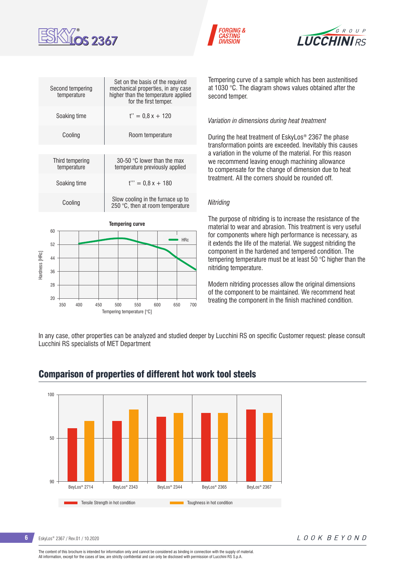





|               | Second tempering<br>temperature |    |  |  | Set on the basis of the required<br>mechanical properties, in any case<br>higher than the temperature applied<br>for the first temper. |  |  |            |  |
|---------------|---------------------------------|----|--|--|----------------------------------------------------------------------------------------------------------------------------------------|--|--|------------|--|
|               | Soaking time                    |    |  |  | $t'' = 0.8x + 120$                                                                                                                     |  |  |            |  |
|               | Cooling                         |    |  |  | Room temperature                                                                                                                       |  |  |            |  |
|               |                                 |    |  |  |                                                                                                                                        |  |  |            |  |
|               | Third tempering<br>temperature  |    |  |  | 30-50 $\degree$ C lower than the max<br>temperature previously applied                                                                 |  |  |            |  |
|               | Soaking time<br>Cooling         |    |  |  | $t''' = 0.8x + 180$                                                                                                                    |  |  |            |  |
|               |                                 |    |  |  | Slow cooling in the furnace up to<br>250 °C, then at room temperature                                                                  |  |  |            |  |
|               |                                 |    |  |  | <b>Tempering curve</b>                                                                                                                 |  |  |            |  |
|               |                                 | 60 |  |  |                                                                                                                                        |  |  | <b>HRc</b> |  |
|               | 52                              |    |  |  |                                                                                                                                        |  |  |            |  |
|               | 44                              |    |  |  |                                                                                                                                        |  |  |            |  |
| Hardness [HRc | 36                              |    |  |  |                                                                                                                                        |  |  |            |  |
|               |                                 |    |  |  |                                                                                                                                        |  |  |            |  |
|               | 28                              |    |  |  |                                                                                                                                        |  |  |            |  |
|               | 20                              |    |  |  |                                                                                                                                        |  |  |            |  |

Tempering curve of a sample which has been austenitised at 1030 °C. The diagram shows values obtained after the second temper.

#### *Variation in dimensions during heat treatment*

During the heat treatment of EskyLos® 2367 the phase transformation points are exceeded. Inevitably this causes a variation in the volume of the material. For this reason we recommend leaving enough machining allowance to compensate for the change of dimension due to heat treatment. All the corners should be rounded off.

#### *Nitriding*

The purpose of nitriding is to increase the resistance of the material to wear and abrasion. This treatment is very useful for components where high performance is necessary, as it extends the life of the material. We suggest nitriding the component in the hardened and tempered condition. The tempering temperature must be at least 50 °C higher than the nitriding temperature.

Modern nitriding processes allow the original dimensions of the component to be maintained. We recommend heat treating the component in the finish machined condition.

In any case, other properties can be analyzed and studied deeper by Lucchini RS on specific Customer request: please consult Lucchini RS specialists of MET Department



### Comparison of properties of different hot work tool steels

Tempering temperature [°C]

350 400 450 500 550 600 650 700

**6** EskyLos® 2367 / Rev.01 / 10.2020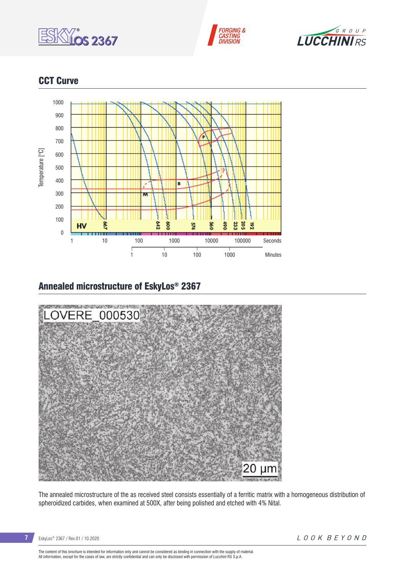





## CCT Curve



## Annealed microstructure of EskyLos® 2367



The annealed microstructure of the as received steel consists essentially of a ferritic matrix with a homogeneous distribution of spheroidized carbides, when examined at 500X, after being polished and etched with 4% Nital.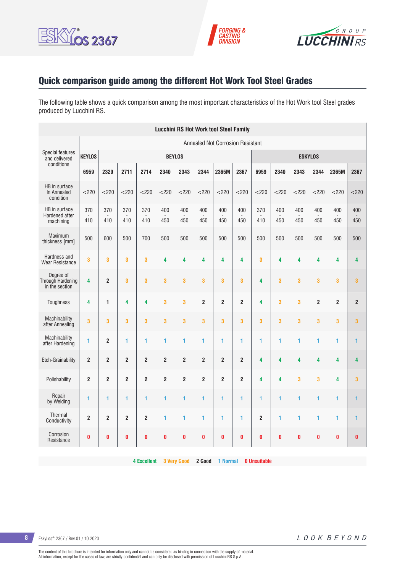





# Quick comparison guide among the different Hot Work Tool Steel Grades

The following table shows a quick comparison among the most important characteristics of the Hot Work tool Steel grades produced by Lucchini RS.

| <b>Lucchini RS Hot Work tool Steel Family</b>    |                         |                         |                         |                |                         |                         |                         |                                         |                         |                |            |                         |                |                         |                |
|--------------------------------------------------|-------------------------|-------------------------|-------------------------|----------------|-------------------------|-------------------------|-------------------------|-----------------------------------------|-------------------------|----------------|------------|-------------------------|----------------|-------------------------|----------------|
|                                                  |                         |                         |                         |                |                         |                         |                         | <b>Annealed Not Corrosion Resistant</b> |                         |                |            |                         |                |                         |                |
| <b>Special features</b><br>and delivered         | <b>KEYLOS</b>           |                         |                         |                |                         | <b>BEYLOS</b>           |                         |                                         |                         | <b>ESKYLOS</b> |            |                         |                |                         |                |
| conditions                                       | 6959                    | 2329                    | 2711                    | 2714           | 2340                    | 2343                    | 2344                    | 2365M                                   | 2367                    | 6959           | 2340       | 2343                    | 2344           | 2365M                   | 2367           |
| HB in surface<br>In Annealed<br>condition        | $<$ 220                 | $<$ 220                 | < 220                   | < 220          | $<$ 220                 | $<$ 220                 | $<$ 220                 | $<$ 220                                 | $<$ 220                 | < 220          | < 220      | $<$ 220                 | $<$ 220        | $<$ 220                 | $<$ 220        |
| HB in surface<br>Hardened after<br>machining     | 370<br>410              | 370<br>410              | 370<br>410              | 370<br>410     | 400<br>450              | 400<br>450              | 400<br>450              | 400<br>450                              | 400<br>450              | 370<br>410     | 400<br>450 | 400<br>450              | 400<br>450     | 400<br>450              | 400<br>450     |
| Maximum<br>thickness [mm]                        | 500                     | 600                     | 500                     | 700            | 500                     | 500                     | 500                     | 500                                     | 500                     | 500            | 500        | 500                     | 500            | 500                     | 500            |
| Hardness and<br><b>Wear Resistance</b>           | 3                       | 3                       | $\overline{\mathbf{3}}$ | 3              | 4                       | 4                       | $\overline{\mathbf{4}}$ | 4                                       | 4                       | 3              | 4          | $\overline{\mathbf{4}}$ | 4              | $\overline{\mathbf{4}}$ | 4              |
| Dearee of<br>Through Hardening<br>in the section | 4                       | $\overline{2}$          | 3                       | 3              | 3                       | 3                       | 3                       | 3                                       | 3                       | 4              | 3          | 3                       | 3              | 3                       | 3              |
| <b>Toughness</b>                                 | $\overline{\mathbf{4}}$ | $\mathbf{1}$            | 4                       | 4              | 3                       | 3                       | $\overline{2}$          | $\overline{2}$                          | $\overline{\mathbf{2}}$ | 4              | 3          | 3                       | $\overline{2}$ | $\overline{2}$          | $\overline{2}$ |
| Machinability<br>after Annealing                 | $\overline{\mathbf{3}}$ | 3                       | 3                       | 3              | 3                       | 3                       | $\overline{3}$          | 3                                       | 3                       | 3              | 3          | 3                       | 3              | 3                       | 3              |
| Machinability<br>after Hardening                 | 1                       | $\overline{2}$          | 1                       | 1              | 1                       | 1                       | 1                       | 1                                       | 1                       | 1              | 1          | 1                       | 1              | 1                       | $\mathbf{1}$   |
| Etch-Grainability                                | $\overline{\mathbf{2}}$ | $\overline{\mathbf{c}}$ | $\bf 2$                 | $\bf 2$        | $\overline{\mathbf{c}}$ | $\overline{\mathbf{c}}$ | $\overline{2}$          | $\overline{\mathbf{c}}$                 | $\mathbf 2$             | 4              | 4          | 4                       | 4              | 4                       | 4              |
| Polishability                                    | $\overline{2}$          | $\overline{2}$          | $\overline{\mathbf{c}}$ | $\overline{2}$ | $\overline{2}$          | $\overline{2}$          | $\overline{2}$          | 2                                       | $\overline{\mathbf{c}}$ | 4              | 4          | 3                       | 3              | 4                       | 3              |
| Repair<br>by Welding                             | 1                       | 1                       | $\mathbf{1}$            | 1              | 1                       | 1                       | 1                       | 1                                       | 1                       | 1              | 1          | 1                       | 1              | 1                       | $\mathbf{1}$   |
| Thermal<br>Conductivity                          | $\overline{2}$          | $\overline{2}$          | $\overline{2}$          | $\overline{2}$ | 1                       | 1                       | 1                       | 1                                       | 1                       | $\overline{2}$ | 1          | 1                       | 1              | 1                       | 1              |
| Corrosion<br>Resistance                          | $\bf{0}$                | $\bf{0}$                | $\bf{0}$                | $\bf{0}$       | $\bf{0}$                | $\bf{0}$                | $\bf{0}$                | 0                                       | $\bf{0}$                | 0              | $\bf{0}$   | $\bf{0}$                | 0              | $\bf{0}$                | $\bf{0}$       |

**4 Excellent 3 Very Good 2 Good 1 Normal 0 Unsuitable**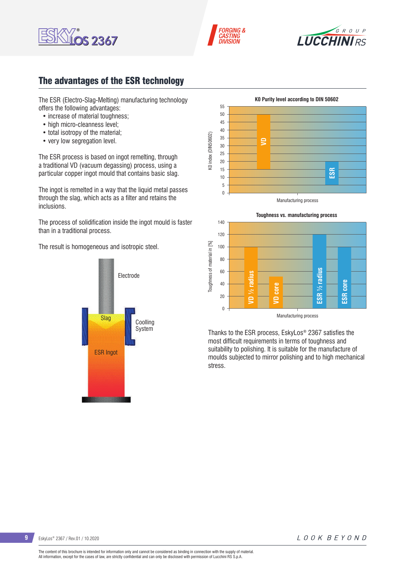





## The advantages of the ESR technology

The ESR (Electro-Slag-Melting) manufacturing technology offers the following advantages:

- increase of material toughness:
- high micro-cleanness level;
- total isotropy of the material;
- very low segregation level.

The ESR process is based on ingot remelting, through a traditional VD (vacuum degassing) process, using a particular copper ingot mould that contains basic slag.

The ingot is remelted in a way that the liquid metal passes through the slag, which acts as a filter and retains the inclusions.

The process of solidification inside the ingot mould is faster than in a traditional process.

The result is homogeneous and isotropic steel.







Thanks to the ESR process, EskyLos® 2367 satisfies the most difficult requirements in terms of toughness and suitability to polishing. It is suitable for the manufacture of moulds subjected to mirror polishing and to high mechanical stress.

**9** EskyLos® 2367 / Rev.01 / 10.2020

LOOK BEYOND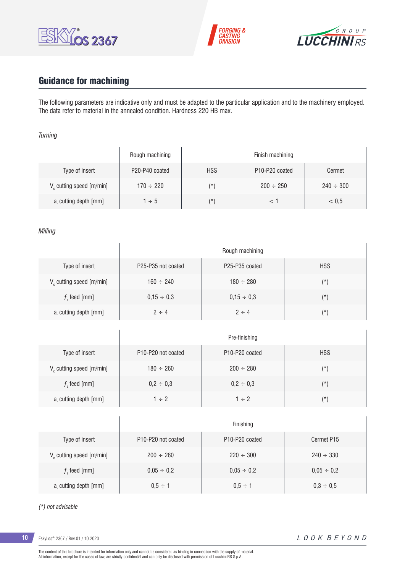





# Guidance for machining

 $\overline{1}$ 

The following parameters are indicative only and must be adapted to the particular application and to the machinery employed. The data refer to material in the annealed condition. Hardness 220 HB max.

#### *Turning*

|                                      | Rough machining |            | Finish machining                        |                |
|--------------------------------------|-----------------|------------|-----------------------------------------|----------------|
| Type of insert                       | P20-P40 coated  | <b>HSS</b> | P <sub>10</sub> -P <sub>20</sub> coated | Cermet         |
| V <sub>c</sub> cutting speed [m/min] | $170 \div 220$  | $(\star)$  | $200 \div 250$                          | $240 \div 300$ |
| a, cutting depth [mm]                | $1 \div 5$      | $(\star)$  |                                         | < 0.5          |

#### *Milling*

|                                      |                                             | Rough machining                         |            |
|--------------------------------------|---------------------------------------------|-----------------------------------------|------------|
| Type of insert                       | P <sub>25</sub> -P <sub>35</sub> not coated | P <sub>25</sub> -P <sub>35</sub> coated | <b>HSS</b> |
| V <sub>c</sub> cutting speed [m/min] | $160 \div 240$                              | $180 \div 280$                          | $(\star)$  |
| $fz$ feed [mm]                       | $0,15 \div 0,3$                             | $0.15 \div 0.3$                         | $(\star)$  |
| a, cutting depth [mm]                | $2 \div 4$                                  | $2 \div 4$                              | $(\star)$  |

|                         |                                             | Pre-finishing                           |               |
|-------------------------|---------------------------------------------|-----------------------------------------|---------------|
| Type of insert          | P <sub>10</sub> -P <sub>20</sub> not coated | P <sub>10</sub> -P <sub>20</sub> coated | <b>HSS</b>    |
| V cutting speed [m/min] | $180 \div 260$                              | $200 \div 280$                          | $(\texttt{'}$ |
| $f$ , feed [mm]         | $0,2 \div 0,3$                              | $0,2 \div 0,3$                          | $(\star)$     |
| a, cutting depth [mm]   | $1 \div 2$                                  | $1 \div 2$                              | (*)           |

|                                      |                                             | Finishing                               |                 |
|--------------------------------------|---------------------------------------------|-----------------------------------------|-----------------|
| Type of insert                       | P <sub>10</sub> -P <sub>20</sub> not coated | P <sub>10</sub> -P <sub>20</sub> coated | Cermet P15      |
| V <sub>c</sub> cutting speed [m/min] | $200 \div 280$                              | $220 \div 300$                          | $240 \div 330$  |
| $f$ , feed [mm]                      | $0,05 \div 0,2$                             | $0,05 \div 0,2$                         | $0,05 \div 0,2$ |
| a, cutting depth [mm]                | $0.5 \div 1$                                | $0.5 \div 1$                            | $0.3 \div 0.5$  |

#### *(\*) not advisable*

**10** EskyLos® 2367 / Rev.01 / 10.2020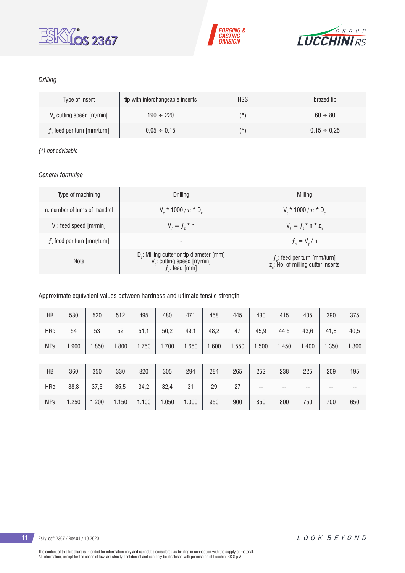





### *Drilling*

| Type of insert                       | tip with interchangeable inserts | <b>HSS</b> | brazed tip       |
|--------------------------------------|----------------------------------|------------|------------------|
| V <sub>c</sub> cutting speed [m/min] | $190 \div 220$                   | (*`        | $60 \div 80$     |
| $fz$ feed per turn [mm/turn]         | $0.05 \div 0.15$                 | (*`        | $0.15 \div 0.25$ |

#### *(\*) not advisable*

### *General formulae*

| Type of machining             | Drilling                                                                                                          | Milling                                                                           |
|-------------------------------|-------------------------------------------------------------------------------------------------------------------|-----------------------------------------------------------------------------------|
| n: number of turns of mandrel | $V_{\rm c}$ * 1000 / $\pi$ * D <sub>c</sub>                                                                       | $V_r * 1000 / \pi * D_c$                                                          |
| $V_f$ : feed speed [m/min]    | $V_{f} = f_{7}$ * n                                                                                               | $V_{f} = f_{7}$ * n * z <sub>n</sub>                                              |
| $fz$ feed per turn [mm/turn]  | $\overline{\phantom{a}}$                                                                                          | $f_{n} = V_{f} / n$                                                               |
| <b>Note</b>                   | D <sub>r</sub> : Milling cutter or tip diameter [mm]<br>V <sub>c</sub> : cutting speed [m/min]<br>$f$ ; feed [mm] | $f_n$ : feed per turn [mm/turn]<br>z <sub>n</sub> : No. of milling cutter inserts |

### Approximate equivalent values between hardness and ultimate tensile strength

| HB         | 530   | 520   | 512   | 495   | 480   | 471   | 458   | 445   | 430   | 415   | 405   | 390   | 375   |
|------------|-------|-------|-------|-------|-------|-------|-------|-------|-------|-------|-------|-------|-------|
| <b>HRc</b> | 54    | 53    | 52    | 51,1  | 50,2  | 49,1  | 48,2  | 47    | 45,9  | 44,5  | 43,6  | 41,8  | 40,5  |
| <b>MPa</b> | 1.900 | 1.850 | 1.800 | 1.750 | 1.700 | 1.650 | 1.600 | 1.550 | 1.500 | 1.450 | 1.400 | 1.350 | 1.300 |
|            |       |       |       |       |       |       |       |       |       |       |       |       |       |
| HB         | 360   | 350   | 330   | 320   | 305   | 294   | 284   | 265   | 252   | 238   | 225   | 209   | 195   |
| <b>HRc</b> | 38,8  | 37,6  | 35,5  | 34,2  | 32,4  | 31    | 29    | 27    | --    | --    | --    | $- -$ | --    |
| <b>MPa</b> | 1.250 | 1.200 | 1.150 | 1.100 | 1.050 | 1.000 | 950   | 900   | 850   | 800   | 750   | 700   | 650   |